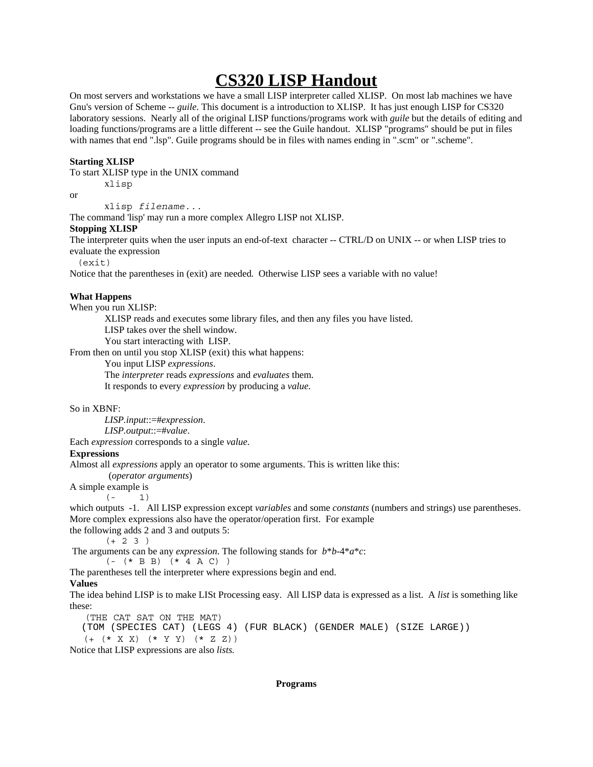# **CS320 LISP Handout**

On most servers and workstations we have a small LISP interpreter called XLISP. On most lab machines we have Gnu's version of Scheme -- *guile*. This document is a introduction to XLISP. It has just enough LISP for CS320 laboratory sessions. Nearly all of the original LISP functions/programs work with *guile* but the details of editing and loading functions/programs are a little different -- see the Guile handout. XLISP "programs" should be put in files with names that end ".lsp". Guile programs should be in files with names ending in ".scm" or ".scheme".

# **Starting XLISP**

To start XLISP type in the UNIX command

xlisp

or

xlisp *filename*...

The command 'lisp' may run a more complex Allegro LISP not XLISP.

# **Stopping XLISP**

The interpreter quits when the user inputs an end-of-text character -- CTRL/D on UNIX -- or when LISP tries to evaluate the expression

(exit)

Notice that the parentheses in (exit) are needed. Otherwise LISP sees a variable with no value!

# **What Happens**

When you run XLISP:

XLISP reads and executes some library files, and then any files you have listed.

LISP takes over the shell window.

You start interacting with LISP.

From then on until you stop XLISP (exit) this what happens:

You input LISP *expressions*.

The *interpreter* reads *expressions* and *evaluates* them.

It responds to every *expression* by producing a *value.*

## So in XBNF:

*LISP.input*::=#*expression*.

*LISP.output*::=#*value*.

Each *expression* corresponds to a single *value*.

## **Expressions**

Almost all *expressions* apply an operator to some arguments. This is written like this:

(*operator arguments*)

A simple example is

 $(- 1)$ 

which outputs -1. All LISP expression except *variables* and some *constants* (numbers and strings) use parentheses. More complex expressions also have the operator/operation first. For example

the following adds 2 and 3 and outputs 5:

 $(+ 2 3 )$ 

The arguments can be any *expression*. The following stands for *b*\**b*-4\**a*\**c*:

 $( (*$  B B)  $(*$  4 A C)  $)$ 

The parentheses tell the interpreter where expressions begin and end.

# **Values**

The idea behind LISP is to make LISt Processing easy. All LISP data is expressed as a list. A *list* is something like these:

(THE CAT SAT ON THE MAT)

```
 (TOM (SPECIES CAT) (LEGS 4) (FUR BLACK) (GENDER MALE) (SIZE LARGE))
    (+ (* X X) (* Y Y) (* Z Z))
Notice that LISP expressions are also lists.
```
## **Programs**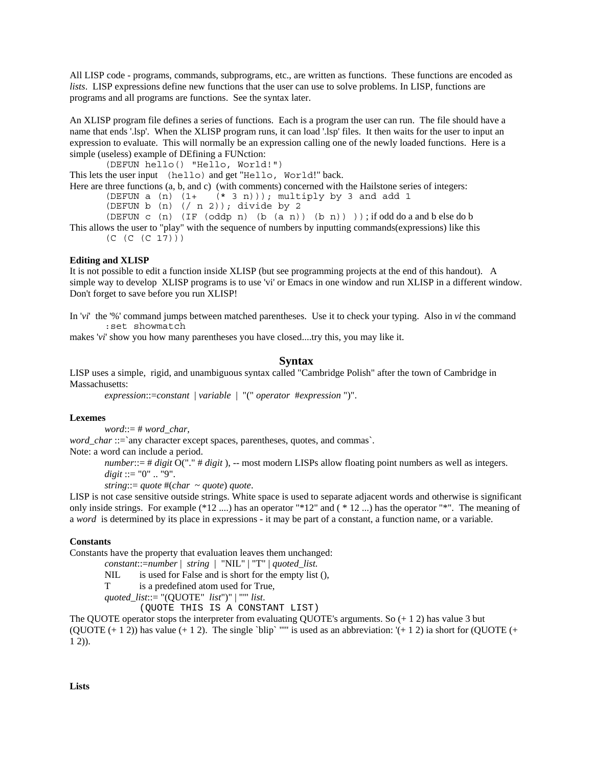All LISP code - programs, commands, subprograms, etc., are written as functions. These functions are encoded as *lists.* LISP expressions define new functions that the user can use to solve problems. In LISP, functions are programs and all programs are functions. See the syntax later.

An XLISP program file defines a series of functions. Each is a program the user can run. The file should have a name that ends '.lsp'. When the XLISP program runs, it can load '.lsp' files. It then waits for the user to input an expression to evaluate. This will normally be an expression calling one of the newly loaded functions. Here is a simple (useless) example of DEfining a FUNction:

(DEFUN hello() "Hello, World!")

This lets the user input (hello) and get "Hello, World!" back.

Here are three functions (a, b, and c) (with comments) concerned with the Hailstone series of integers:<br>(DEFUN a (n)  $(1 + \kappa 3 n)$ ); multiply by 3 and add 1

```
(* 3 n)); multiply by 3 and add 1
```
(DEFUN b  $(n)$   $(\text{/} n 2))$ ; divide by 2

(DEFUN c  $(n)$  (IF  $(oddp n)$   $(b (a n)) (b n))$ ); if odd do a and b else do b This allows the user to "play" with the sequence of numbers by inputting commands(expressions) like this

```
(C (C (C 17)))
```
## **Editing and XLISP**

It is not possible to edit a function inside XLISP (but see programming projects at the end of this handout). A simple way to develop XLISP programs is to use 'vi' or Emacs in one window and run XLISP in a different window. Don't forget to save before you run XLISP!

In '*vi*' the '%' command jumps between matched parentheses. Use it to check your typing. Also in *vi* the command :set showmatch

makes '*vi*' show you how many parentheses you have closed....try this, you may like it.

# **Syntax**

LISP uses a simple, rigid, and unambiguous syntax called "Cambridge Polish" after the town of Cambridge in Massachusetts:

*expression*::=*constant* | *variable* | "(" *operator* #*expression* ")".

#### **Lexemes**

*word*::= # *word\_char,*

*word\_char* ::=`any character except spaces, parentheses, quotes, and commas`.

Note: a word can include a period.

*number*::= # *digit* O("." # *digit* ), -- most modern LISPs allow floating point numbers as well as integers. *digit* ::= "0" .. "9".

*string*::= *quote* #(*char* ~ *quote*) *quote*.

LISP is not case sensitive outside strings. White space is used to separate adjacent words and otherwise is significant only inside strings. For example (\*12 ....) has an operator "\*12" and ( \* 12 ...) has the operator "\*". The meaning of a *word* is determined by its place in expressions - it may be part of a constant, a function name, or a variable.

#### **Constants**

Constants have the property that evaluation leaves them unchanged:

- *constant*::=*number* | *string* | "NIL" | "T" | *quoted\_list.*
- NIL is used for False and is short for the empty list (),

T is a predefined atom used for True,

*quoted\_list*::= "(QUOTE" *list*")" | "'" *list*.

(QUOTE THIS IS A CONSTANT LIST)

The QUOTE operator stops the interpreter from evaluating QUOTE's arguments. So (+ 1 2) has value 3 but (QUOTE  $(+ 1 2)$ ) has value  $(+ 1 2)$ . The single `blip` "" is used as an abbreviation: ' $(+ 1 2)$  ia short for (QUOTE  $(+ )$  $1 \, 2)$ ).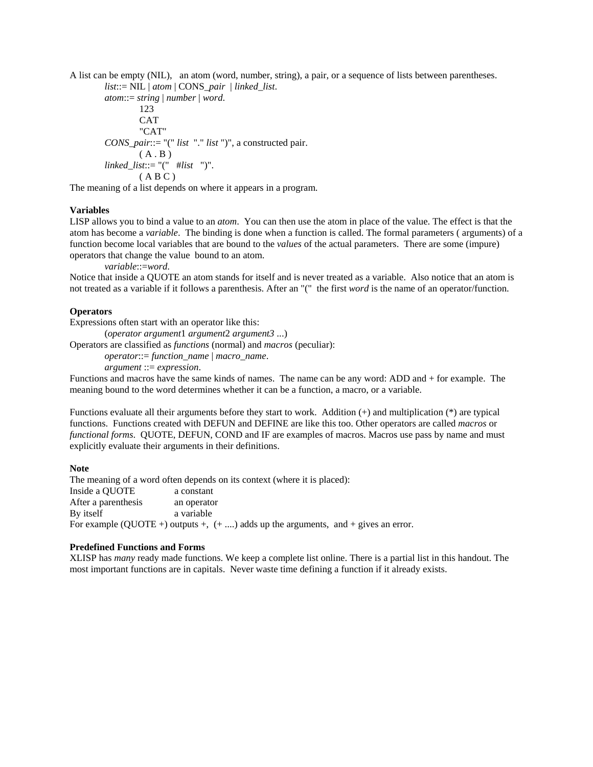A list can be empty (NIL), an atom (word, number, string), a pair, or a sequence of lists between parentheses.

*list*::= NIL | *atom* | CONS\_*pair* | *linked\_list*. *atom*::= *string* | *number* | *word*. 123 CAT "CAT" *CONS\_pair*::= "(" *list* "." *list* ")", a constructed pair.  $(A, B)$ *linked\_list*::= "(" #*list* ")".  $(AB C)$ 

The meaning of a list depends on where it appears in a program.

## **Variables**

LISP allows you to bind a value to an *atom*. You can then use the atom in place of the value. The effect is that the atom has become a *variable*. The binding is done when a function is called. The formal parameters ( arguments) of a function become local variables that are bound to the *values* of the actual parameters. There are some (impure) operators that change the value bound to an atom.

*variable*::=*word*.

Notice that inside a QUOTE an atom stands for itself and is never treated as a variable. Also notice that an atom is not treated as a variable if it follows a parenthesis. After an "(" the first *word* is the name of an operator/function.

#### **Operators**

Expressions often start with an operator like this:

(*operator argument*1 *argument*2 *argument3* ...)

Operators are classified as *functions* (normal) and *macros* (peculiar):

*operator*::= *function\_name* | *macro\_name*.

*argument* ::= *expression*.

Functions and macros have the same kinds of names. The name can be any word: ADD and + for example. The meaning bound to the word determines whether it can be a function, a macro, or a variable.

Functions evaluate all their arguments before they start to work. Addition (+) and multiplication (\*) are typical functions. Functions created with DEFUN and DEFINE are like this too. Other operators are called *macros* or *functional forms.* QUOTE, DEFUN, COND and IF are examples of macros. Macros use pass by name and must explicitly evaluate their arguments in their definitions.

#### **Note**

The meaning of a word often depends on its context (where it is placed): Inside a QUOTE a constant After a parenthesis an operator By itself a variable For example (OUOTE +) outputs +,  $(+ \dots)$  adds up the arguments, and + gives an error.

#### **Predefined Functions and Forms**

XLISP has *many* ready made functions. We keep a complete list online. There is a partial list in this handout. The most important functions are in capitals. Never waste time defining a function if it already exists.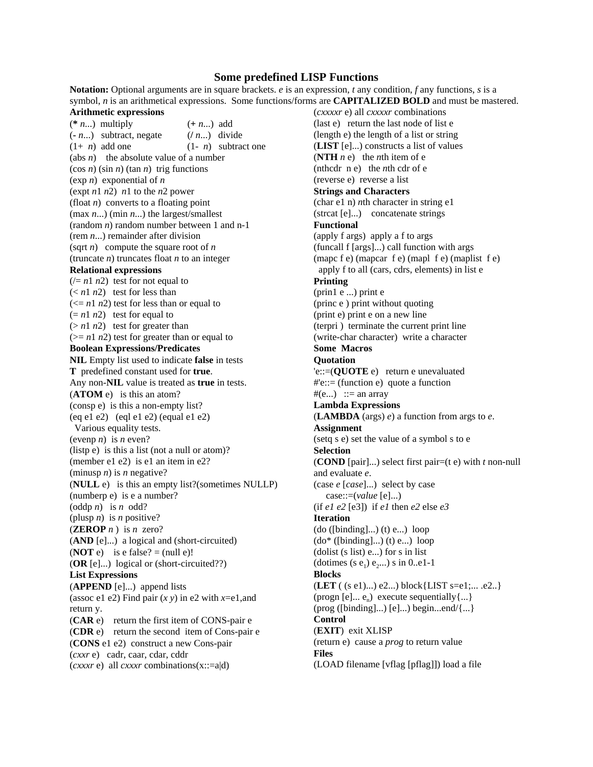# **Some predefined LISP Functions**

**Notation:** Optional arguments are in square brackets. *e* is an expression, *t* any condition, *f* any functions, *s* is a

symbol, *n* is an arithmetical expressions. Some functions/forms are **CAPITALIZED BOLD** and must be mastered. **Arithmetic expressions** (**\*** *n*...) multiply (**+** *n*...) add  $(n...)$  subtract, negate  $((n...)$  divide  $(1+n)$  add one  $(1-n)$  subtract one (abs *n*) the absolute value of a number  $(\cos n)(\sin n)(\tan n)$  trig functions (exp *n*) exponential of *n* (expt *n*1 *n*2) *n*1 to the *n*2 power (float *n*) converts to a floating point (max *n*...) (min *n*...) the largest/smallest (random *n*) random number between 1 and n-1 (rem *n*...) remainder after division (sqrt *n*) compute the square root of *n* (truncate *n*) truncates float *n* to an integer **Relational expressions**  $(1/n^2)$  test for not equal to  $(*n*1 *n*2)$  test for less than  $\left(\left\langle -\ln 1 \right| n2\right)$  test for less than or equal to  $(= n1 n2)$  test for equal to  $(> n 1 n 2)$  test for greater than  $(>= n1 n2)$  test for greater than or equal to **Boolean Expressions/Predicates NIL** Empty list used to indicate **false** in tests **T** predefined constant used for **true**. Any non-**NIL** value is treated as **true** in tests. (**ATOM** e) is this an atom? (consp e) is this a non-empty list? (eq e1 e2) (eql e1 e2) (equal e1 e2) Various equality tests. (evenp *n*) is *n* even? (listp e) is this a list (not a null or atom)? (member e1 e2) is e1 an item in e2? (minusp  $n$ ) is  $n$  negative? (**NULL** e) is this an empty list?(sometimes NULLP) (numberp e) is e a number? (oddp *n*) is *n* odd? (plusp *n*) is *n* positive?  $(ZEROPn)$  is *n* zero? (**AND** [e]...) a logical and (short-circuited) (**NOT** e) is e false? = (null e)! (**OR** [e]...) logical or (short-circuited??) **List Expressions** (**APPEND** [e]...) append lists (assoc e1 e2) Find pair  $(x y)$  in e2 with  $x=$ e1,and return y. (**CAR** e) return the first item of CONS-pair e (**CDR** e) return the second item of Cons-pair e (**CONS** e1 e2) construct a new Cons-pair (*cxxr* e) cadr, caar, cdar, cddr (*cxxxr* e) all *cxxxr* combinations(x::=a|d)

(*cxxxxr* e) all *cxxxxr* combinations (last e) return the last node of list e (length e) the length of a list or string (**LIST** [e]...) constructs a list of values (**NTH**  $n e$ ) the *n*th item of e (nthcdr n e) the *n*th cdr of e (reverse e) reverse a list **Strings and Characters** (char e1 n) *n*th character in string e1 (strcat [e]...) concatenate strings **Functional** (apply f args) apply a f to args (funcall f [args]...) call function with args (mapc f e) (mapcar f e) (mapl f e) (maplist f e) apply f to all (cars, cdrs, elements) in list e **Printing** (prin1 e ...) print e (princ e ) print without quoting (print e) print e on a new line (terpri ) terminate the current print line (write-char character) write a character **Some Macros Quotation** 'e::=(**QUOTE** e) return e unevaluated #'e::= (function e) quote a function  $#(e...)$  ::= an array **Lambda Expressions** (**LAMBDA** (args) *e*) a function from args to *e*. **Assignment** (setq s e) set the value of a symbol s to e **Selection** (**COND** [pair]...) select first pair=(t e) with *t* non-null and evaluate *e*. (case *e* [*case*]...) select by case case::=(*value* [e]...) (if  $e1 e2$  [e3]) if  $e1$  then  $e2$  else  $e3$ **Iteration**  $(do ([\text{binding}]...)$  $(t)$  $e...)$  loop  $(do^*$  ([binding]...) (t) e...) loop (dolist (s list) e...) for s in list (dotimes (s  $e_1$ )  $e_2$ ...) s in 0..e1-1 **Blocks** (**LET** ( (s e1)...) e2...) block{LIST s=e1;... .e2..} (progn  $[e]... e_n$ ) execute sequentially $\{... \}$  $(prog ([\text{binding}]...) [\text{e}]...)$  begin...end $\langle \{\dots\} \rangle$ **Control** (**EXIT**) exit XLISP (return e) cause a *prog* to return value **Files** (LOAD filename [vflag [pflag]]) load a file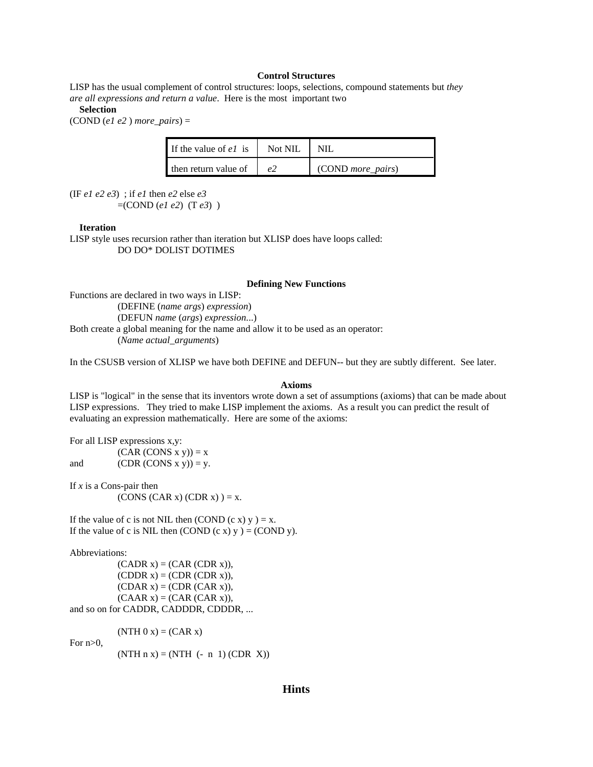## **Control Structures**

LISP has the usual complement of control structures: loops, selections, compound statements but *they are all expressions and return a value*. Here is the most important two

#### **Selection**

(COND (*e1 e2* ) *more\_pairs*) =

| If the value of $eI$ is | Not NIL |                   |
|-------------------------|---------|-------------------|
| then return value of    | e 2     | (COND more pairs) |

(IF *e1 e2 e3*) ; if *e1* then *e2* else *e3*

 $=($ COND  $(e1 e2)$   $(T e3)$ )

#### **Iteration**

LISP style uses recursion rather than iteration but XLISP does have loops called: DO DO\* DOLIST DOTIMES

#### **Defining New Functions**

Functions are declared in two ways in LISP: (DEFINE (*name args*) *expression*) (DEFUN *name* (*args*) *expression*...) Both create a global meaning for the name and allow it to be used as an operator: (*Name actual\_arguments*)

In the CSUSB version of XLISP we have both DEFINE and DEFUN-- but they are subtly different. See later.

#### **Axioms**

LISP is "logical" in the sense that its inventors wrote down a set of assumptions (axioms) that can be made about LISP expressions. They tried to make LISP implement the axioms. As a result you can predict the result of evaluating an expression mathematically. Here are some of the axioms:

For all LISP expressions x,y:

 $(CAR (CONS x y)) = x$ and  $(CDR (CONS x y)) = y$ .

If *x* is a Cons-pair then  $(CONS (CAR x) (CDR x) = x.$ 

If the value of c is not NIL then (COND  $(c x) y$ ) = x. If the value of c is NIL then  $(COND (c x) y) = (COND y)$ .

Abbreviations:

 $(CADR x) = (CAR (CDR x)),$  $(CDDR x) = (CDR (CDR x)),$  $(CDAR x) = (CDR (CAR x)),$  $(CAAR x) = (CAR (CAR x)),$ and so on for CADDR, CADDDR, CDDDR, ...

 $(NTH 0 x) = (CAR x)$ 

For  $n>0$ .

 $(NTH n x) = (NTH (- n 1) (CDR X))$ 

# **Hints**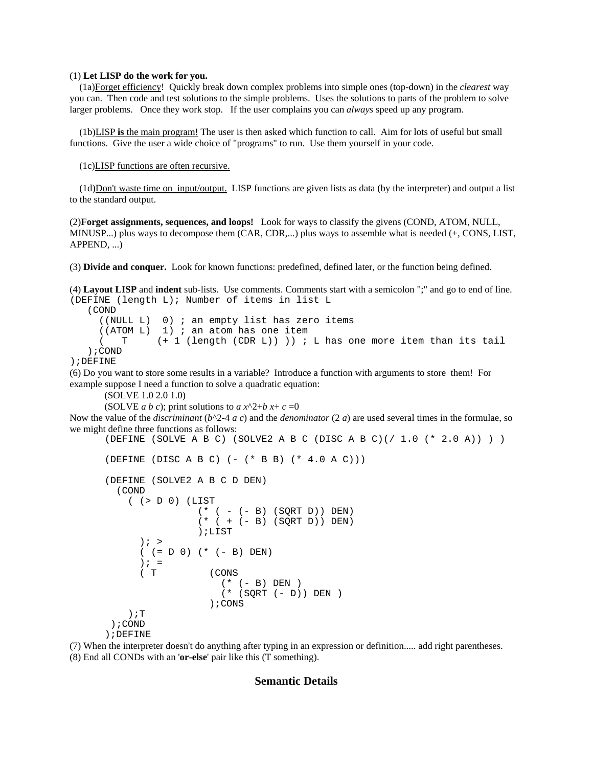#### (1) **Let LISP do the work for you.**

 (1a)Forget efficiency! Quickly break down complex problems into simple ones (top-down) in the *clearest* way you can. Then code and test solutions to the simple problems. Uses the solutions to parts of the problem to solve larger problems. Once they work stop. If the user complains you can *always* speed up any program.

 (1b)LISP **is** the main program! The user is then asked which function to call. Aim for lots of useful but small functions. Give the user a wide choice of "programs" to run. Use them yourself in your code.

(1c)LISP functions are often recursive.

 (1d)Don't waste time on input/output. LISP functions are given lists as data (by the interpreter) and output a list to the standard output.

(2)**Forget assignments, sequences, and loops!** Look for ways to classify the givens (COND, ATOM, NULL, MINUSP...) plus ways to decompose them (CAR, CDR,...) plus ways to assemble what is needed (+, CONS, LIST, APPEND, ...)

(3) **Divide and conquer.** Look for known functions: predefined, defined later, or the function being defined.

(4) **Layout LISP** and **indent** sub-lists. Use comments. Comments start with a semicolon ";" and go to end of line. (DEFINE (length L); Number of items in list L (COND ((NULL L) 0) ; an empty list has zero items ((ATOM L) 1) ; an atom has one item  $(T + 1 (length (CDR L)))$  ; L has one more item than its tail );COND );DEFINE

(6) Do you want to store some results in a variable? Introduce a function with arguments to store them! For example suppose I need a function to solve a quadratic equation:

(SOLVE 1.0 2.0 1.0)

(SOLVE *a b c*); print solutions to  $ax^2+bx+c=0$ 

Now the value of the *discriminant* ( $b^2-4 a c$ ) and the *denominator* (2*a*) are used several times in the formulae, so we might define three functions as follows:

```
(DEFINE (SOLVE A B C) (SOLVE2 A B C (DISC A B C)(/ 1.0 (* 2.0 A)) ) )
```

```
(DEFFINE (DISC A B C) (- (* B B) (* 4.0 A C)))
```

```
(DEFINE (SOLVE2 A B C D DEN)
   (COND 
     ( (> D 0) (LIST 
                 (* (- - B) (SQRT D)) DEN)(* (+ (- B) (SQRT D)) DEN) );LIST
      ); >
      ( (= D 0) (* (- B) DEN)) \mathbf{i} =
      ( T (CONS
                     (* (- B) DEN )
                      (* (SQRT (- D)) DEN )
                   );CONS
     );T
 );COND
);DEFINE
```
(7) When the interpreter doesn't do anything after typing in an expression or definition..... add right parentheses.

(8) End all CONDs with an '**or-else**' pair like this (T something).

# **Semantic Details**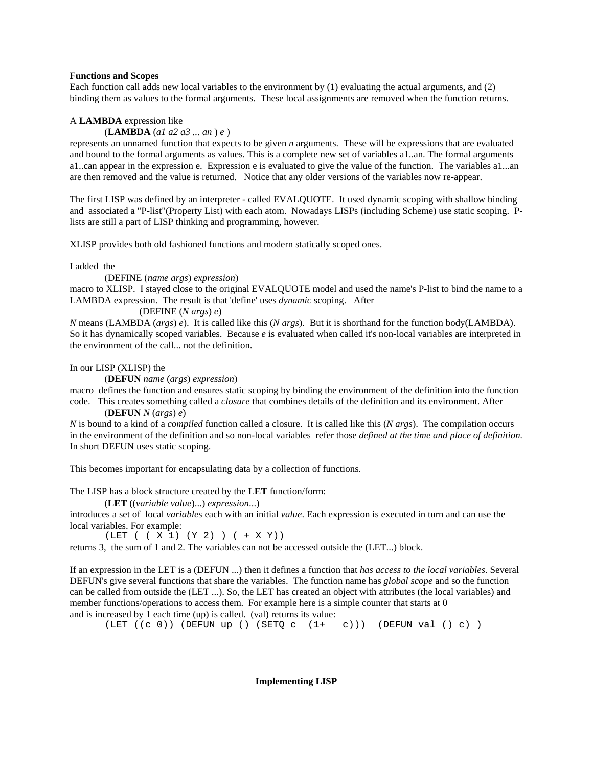#### **Functions and Scopes**

Each function call adds new local variables to the environment by (1) evaluating the actual arguments, and (2) binding them as values to the formal arguments. These local assignments are removed when the function returns.

## A **LAMBDA** expression like

## (**LAMBDA** (*a1 a2 a3 ... an* ) *e* )

represents an unnamed function that expects to be given *n* arguments. These will be expressions that are evaluated and bound to the formal arguments as values. This is a complete new set of variables a1..an. The formal arguments a1..can appear in the expression e. Expression e is evaluated to give the value of the function. The variables a1...an are then removed and the value is returned. Notice that any older versions of the variables now re-appear.

The first LISP was defined by an interpreter - called EVALQUOTE. It used dynamic scoping with shallow binding and associated a "P-list"(Property List) with each atom. Nowadays LISPs (including Scheme) use static scoping. Plists are still a part of LISP thinking and programming, however.

XLISP provides both old fashioned functions and modern statically scoped ones.

I added the

#### (DEFINE (*name args*) *expression*)

macro to XLISP. I stayed close to the original EVALQUOTE model and used the name's P-list to bind the name to a LAMBDA expression. The result is that 'define' uses *dynamic* scoping. After

## (DEFINE (*N args*) *e*)

*N* means (LAMBDA (*args*) *e*). It is called like this (*N args*). But it is shorthand for the function body(LAMBDA). So it has dynamically scoped variables. Because *e* is evaluated when called it's non-local variables are interpreted in the environment of the call... not the definition.

#### In our LISP (XLISP) the

(**DEFUN** *name* (*args*) *expression*)

macro defines the function and ensures static scoping by binding the environment of the definition into the function code. This creates something called a *closure* that combines details of the definition and its environment. After

(**DEFUN** *N* (*args*) *e*)

*N* is bound to a kind of a *compiled* function called a closure. It is called like this (*N args*). The compilation occurs in the environment of the definition and so non-local variables refer those *defined at the time and place of definition.* In short DEFUN uses static scoping.

This becomes important for encapsulating data by a collection of functions.

The LISP has a block structure created by the **LET** function/form:

(**LET** ((*variable value*)...) *expression*...)

introduces a set of local *variable*s each with an initial *value*. Each expression is executed in turn and can use the local variables. For example:

(LET ( ( X 1) (Y 2) ) ( + X Y))

returns 3, the sum of 1 and 2. The variables can not be accessed outside the (LET...) block.

If an expression in the LET is a (DEFUN ...) then it defines a function that *has access to the local variables*. Several DEFUN's give several functions that share the variables. The function name has *global scope* and so the function can be called from outside the (LET ...). So, the LET has created an object with attributes (the local variables) and member functions/operations to access them. For example here is a simple counter that starts at 0 and is increased by 1 each time (up) is called. (val) returns its value:

(LET  $((c 0))$  (DEFUN up () (SETQ c  $(1+ c))$ ) (DEFUN val () c))

## **Implementing LISP**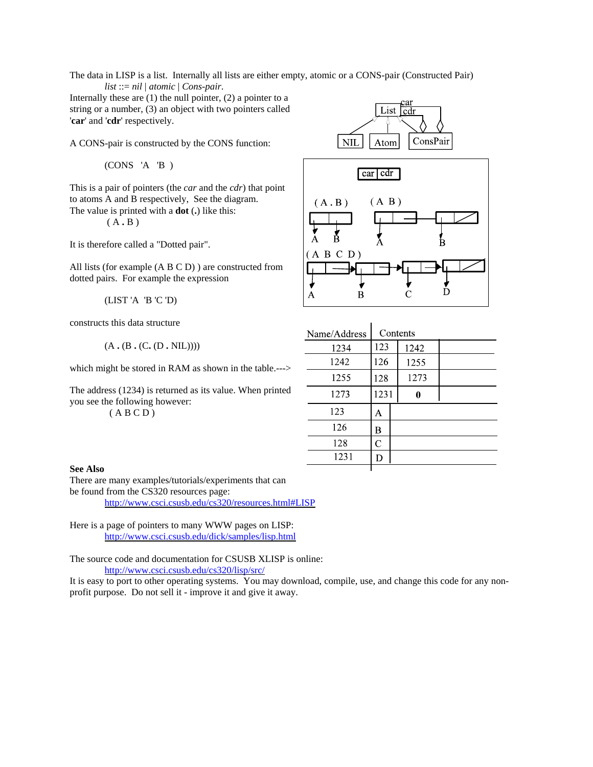The data in LISP is a list. Internally all lists are either empty, atomic or a CONS-pair (Constructed Pair) *list* ::= *nil* | *atomic* | *Cons-pair*.

Internally these are  $(1)$  the null pointer,  $(2)$  a pointer to a string or a number, (3) an object with two pointers called '**car**' and '**cdr**' respectively.

A CONS-pair is constructed by the CONS function:

(CONS 'A 'B )

This is a pair of pointers (the *car* and the *cdr*) that point to atoms A and B respectively, See the diagram. The value is printed with a **dot** (**.**) like this:

( A **.** B )

It is therefore called a "Dotted pair".

All lists (for example (A B C D) ) are constructed from dotted pairs. For example the expression

(LIST 'A 'B 'C 'D)

constructs this data structure

(A **.** (B **.** (C**.** (D **.** NIL))))

which might be stored in RAM as shown in the table.--->

The address (1234) is returned as its value. When printed you see the following however:

 $(ABCD)$ 





| Name/Address | Contents |  |      |  |
|--------------|----------|--|------|--|
| 1234         | 123      |  | 1242 |  |
| 1242         | 126      |  | 1255 |  |
| 1255         | 128      |  | 1273 |  |
| 1273         | 1231     |  | 0    |  |
| 123          | Α        |  |      |  |
| 126          | B        |  |      |  |
| 128          | C        |  |      |  |
| 1231         | D        |  |      |  |
|              |          |  |      |  |

# **See Also**

There are many examples/tutorials/experiments that can be found from the CS320 resources page:

http://www.csci.csusb.edu/cs320/resources.html#LISP

Here is a page of pointers to many WWW pages on LISP: http://www.csci.csusb.edu/dick/samples/lisp.html

The source code and documentation for CSUSB XLISP is online: http://www.csci.csusb.edu/cs320/lisp/src/

It is easy to port to other operating systems. You may download, compile, use, and change this code for any nonprofit purpose. Do not sell it - improve it and give it away.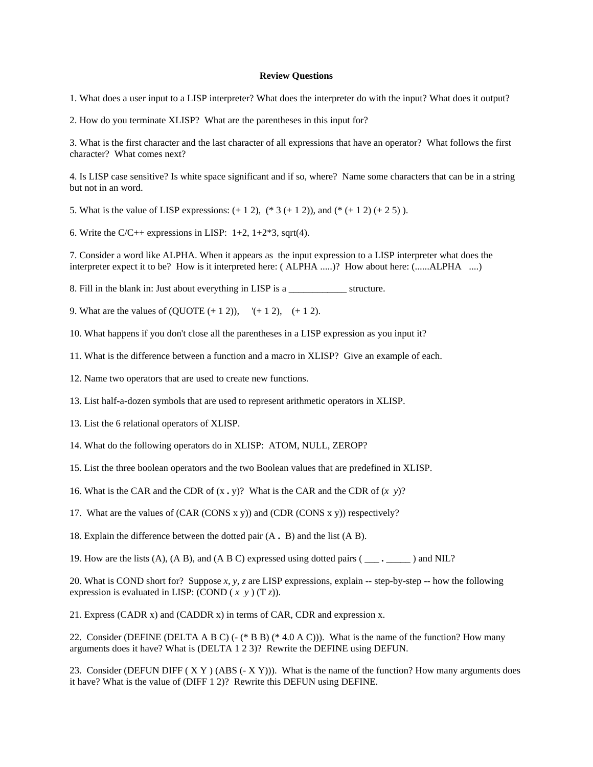#### **Review Questions**

1. What does a user input to a LISP interpreter? What does the interpreter do with the input? What does it output?

2. How do you terminate XLISP? What are the parentheses in this input for?

3. What is the first character and the last character of all expressions that have an operator? What follows the first character? What comes next?

4. Is LISP case sensitive? Is white space significant and if so, where? Name some characters that can be in a string but not in an word.

5. What is the value of LISP expressions:  $(+ 1 2)$ ,  $(* 3 (+ 1 2))$ , and  $(* (+ 1 2) (+ 2 5))$ .

6. Write the C/C++ expressions in LISP:  $1+2$ ,  $1+2*3$ , sqrt(4).

7. Consider a word like ALPHA. When it appears as the input expression to a LISP interpreter what does the interpreter expect it to be? How is it interpreted here: ( ALPHA .....)? How about here: (......ALPHA ....)

8. Fill in the blank in: Just about everything in LISP is a structure.

9. What are the values of  $(QUOTE (+ 1 2))$ ,  $( + 1 2)$ ,  $( + 1 2)$ .

10. What happens if you don't close all the parentheses in a LISP expression as you input it?

11. What is the difference between a function and a macro in XLISP? Give an example of each.

12. Name two operators that are used to create new functions.

13. List half-a-dozen symbols that are used to represent arithmetic operators in XLISP.

13. List the 6 relational operators of XLISP.

14. What do the following operators do in XLISP: ATOM, NULL, ZEROP?

15. List the three boolean operators and the two Boolean values that are predefined in XLISP.

16. What is the CAR and the CDR of (x **.** y)? What is the CAR and the CDR of (*x y*)?

17. What are the values of  $(CAR (CONS x y))$  and  $(CDR (CONS x y))$  respectively?

18. Explain the difference between the dotted pair (A **.** B) and the list (A B).

19. How are the lists (A), (A B), and (A B C) expressed using dotted pairs ( \_\_\_ **.** \_\_\_\_\_ ) and NIL?

20. What is COND short for? Suppose *x*, *y*, *z* are LISP expressions, explain -- step-by-step -- how the following expression is evaluated in LISP: (COND  $(x, y)$   $(T, z)$ ).

21. Express (CADR x) and (CADDR x) in terms of CAR, CDR and expression x.

22. Consider (DEFINE (DELTA A B C) (-  $(*$  B B)  $(*$  4.0 A C))). What is the name of the function? How many arguments does it have? What is (DELTA 1 2 3)? Rewrite the DEFINE using DEFUN.

23. Consider (DEFUN DIFF  $(X Y)$  (ABS  $(-X Y)$ )). What is the name of the function? How many arguments does it have? What is the value of (DIFF 1 2)? Rewrite this DEFUN using DEFINE.